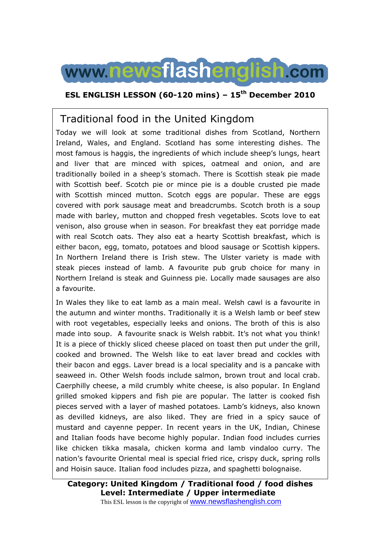

### **ESL ENGLISH LESSON (60-120 mins) – 15th December 2010**

# Traditional food in the United Kingdom

Today we will look at some traditional dishes from Scotland, Northern Ireland, Wales, and England. Scotland has some interesting dishes. The most famous is haggis, the ingredients of which include sheep's lungs, heart and liver that are minced with spices, oatmeal and onion, and are traditionally boiled in a sheep's stomach. There is Scottish steak pie made with Scottish beef. Scotch pie or mince pie is a double crusted pie made with Scottish minced mutton. Scotch eggs are popular. These are eggs covered with pork sausage meat and breadcrumbs. Scotch broth is a soup made with barley, mutton and chopped fresh vegetables. Scots love to eat venison, also grouse when in season. For breakfast they eat porridge made with real Scotch oats. They also eat a hearty Scottish breakfast, which is either bacon, egg, tomato, potatoes and blood sausage or Scottish kippers. In Northern Ireland there is Irish stew. The Ulster variety is made with steak pieces instead of lamb. A favourite pub grub choice for many in Northern Ireland is steak and Guinness pie. Locally made sausages are also a favourite.

In Wales they like to eat lamb as a main meal. Welsh cawl is a favourite in the autumn and winter months. Traditionally it is a Welsh lamb or beef stew with root vegetables, especially leeks and onions. The broth of this is also made into soup. A favourite snack is Welsh rabbit. It's not what you think! It is a piece of thickly sliced cheese placed on toast then put under the grill, cooked and browned. The Welsh like to eat laver bread and cockles with their bacon and eggs. Laver bread is a local speciality and is a pancake with seaweed in. Other Welsh foods include salmon, brown trout and local crab. Caerphilly cheese, a mild crumbly white cheese, is also popular. In England grilled smoked kippers and fish pie are popular. The latter is cooked fish pieces served with a layer of mashed potatoes. Lamb's kidneys, also known as devilled kidneys, are also liked. They are fried in a spicy sauce of mustard and cayenne pepper. In recent years in the UK, Indian, Chinese and Italian foods have become highly popular. Indian food includes curries like chicken tikka masala, chicken korma and lamb vindaloo curry. The nation's favourite Oriental meal is special fried rice, crispy duck, spring rolls and Hoisin sauce. Italian food includes pizza, and spaghetti bolognaise.

**Category: United Kingdom / Traditional food / food dishes Level: Intermediate / Upper intermediate**

This ESL lesson is the copyright of www.newsflashenglish.com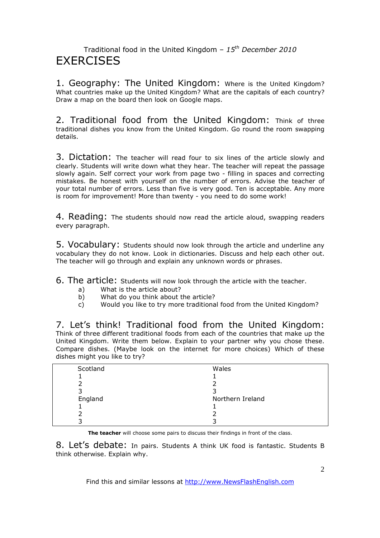### Traditional food in the United Kingdom – *15th December 2010* **EXERCISES**

1. Geography: The United Kingdom: Where is the United Kingdom? What countries make up the United Kingdom? What are the capitals of each country? Draw a map on the board then look on Google maps.

2. Traditional food from the United Kingdom: Think of three traditional dishes you know from the United Kingdom. Go round the room swapping details.

3. Dictation: The teacher will read four to six lines of the article slowly and clearly. Students will write down what they hear. The teacher will repeat the passage slowly again. Self correct your work from page two - filling in spaces and correcting mistakes. Be honest with yourself on the number of errors. Advise the teacher of your total number of errors. Less than five is very good. Ten is acceptable. Any more is room for improvement! More than twenty - you need to do some work!

4. Reading: The students should now read the article aloud, swapping readers every paragraph.

5. Vocabulary: Students should now look through the article and underline any vocabulary they do not know. Look in dictionaries. Discuss and help each other out. The teacher will go through and explain any unknown words or phrases.

6. The article: Students will now look through the article with the teacher.

- a) What is the article about?
- b) What do you think about the article?
- c) Would you like to try more traditional food from the United Kingdom?

7. Let's think! Traditional food from the United Kingdom: Think of three different traditional foods from each of the countries that make up the United Kingdom. Write them below. Explain to your partner why you chose these. Compare dishes. (Maybe look on the internet for more choices) Which of these dishes might you like to try?

| Scotland | Wales            |  |
|----------|------------------|--|
|          |                  |  |
|          |                  |  |
|          |                  |  |
| England  | Northern Ireland |  |
|          |                  |  |
|          |                  |  |
|          |                  |  |
|          |                  |  |

**The teacher** will choose some pairs to discuss their findings in front of the class.

8. Let's debate: In pairs. Students A think UK food is fantastic. Students B think otherwise. Explain why.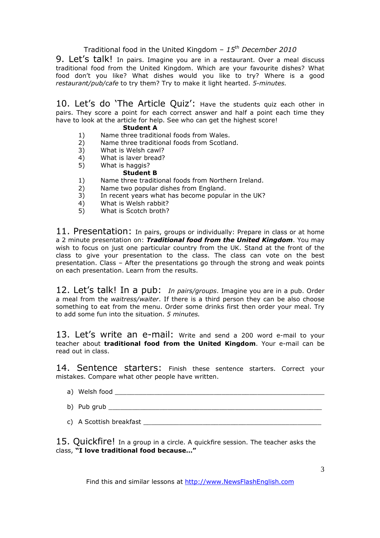### Traditional food in the United Kingdom – *15th December 2010*

9. Let's talk! In pairs. Imagine you are in a restaurant. Over a meal discuss traditional food from the United Kingdom. Which are your favourite dishes? What food don't you like? What dishes would you like to try? Where is a good *restaurant/pub/cafe* to try them? Try to make it light hearted. *5-minutes.* 

10. Let's do 'The Article Quiz': Have the students quiz each other in pairs. They score a point for each correct answer and half a point each time they have to look at the article for help. See who can get the highest score!

#### **Student A**

- 1) Name three traditional foods from Wales.<br>2) Name three traditional foods from Scotlar
- 2) Name three traditional foods from Scotland.
- 3) What is Welsh cawl?<br>4) What is laver bread?
- 4) What is laver bread?<br>5) What is haggis?
- What is haggis?

#### **Student B**

- 1) Name three traditional foods from Northern Ireland.
- 2) Name two popular dishes from England.
- 3) In recent years what has become popular in the UK?
- 4) What is Welsh rabbit?
- 5) What is Scotch broth?

11. Presentation: In pairs, groups or individually: Prepare in class or at home a 2 minute presentation on: *Traditional food from the United Kingdom*. You may wish to focus on just one particular country from the UK. Stand at the front of the class to give your presentation to the class. The class can vote on the best presentation. Class – After the presentations go through the strong and weak points on each presentation. Learn from the results.

12. Let's talk! In a pub: *In pairs/groups*. Imagine you are in a pub. Order a meal from the *waitress/waiter*. If there is a third person they can be also choose something to eat from the menu. Order some drinks first then order your meal. Try to add some fun into the situation. *5 minutes.* 

13. Let's write an e-mail: Write and send a 200 word e-mail to your teacher about **traditional food from the United Kingdom**. Your e-mail can be read out in class.

14. Sentence starters: Finish these sentence starters. Correct your mistakes. Compare what other people have written.

- a) Welsh food **with a set of the set of the set of the set of the set of the set of the set of the set of the set of the set of the set of the set of the set of the set of the set of the set of the set of the set of the se**
- b) Pub grub
- c) A Scottish breakfast controlled the set of the set of the set of the set of the set of the set of the set of the set of the set of the set of the set of the set of the set of the set of the set of the set of the set of

15. Quickfire! In a group in a circle. A quickfire session. The teacher asks the class, **"I love traditional food because…"**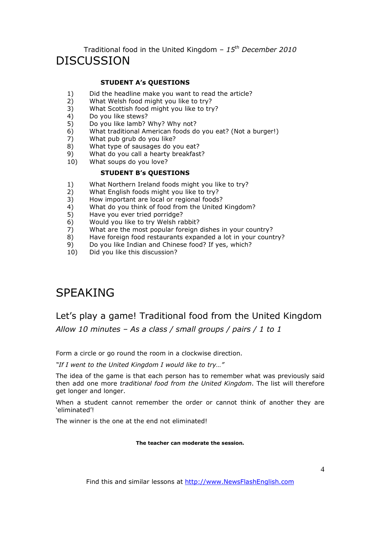Traditional food in the United Kingdom – *15th December 2010* DISCUSSION

#### **STUDENT A's QUESTIONS**

- 1) Did the headline make you want to read the article?
- 2) What Welsh food might you like to try?
- 3) What Scottish food might you like to try?
- 4) Do you like stews?<br>5) Do you like lamb?
- 5) Do you like lamb? Why? Why not?<br>6) What traditional American foods do
- 6) What traditional American foods do you eat? (Not a burger!)
- 7) What pub grub do you like?
- 8) What type of sausages do you eat?
- 9) What do you call a hearty breakfast?
- 10) What soups do you love?

#### **STUDENT B's QUESTIONS**

- 1) What Northern Ireland foods might you like to try?<br>2) What English foods might you like to try?
- 2) What English foods might you like to try?
- 3) How important are local or regional foods?
- 4) What do you think of food from the United Kingdom?<br>5) Have you ever tried porridge?
- 5) Have you ever tried porridge?
- 6) Would you like to try Welsh rabbit?
- 7) What are the most popular foreign dishes in your country?
- 8) Have foreign food restaurants expanded a lot in your country?
- 9) Do you like Indian and Chinese food? If yes, which?<br>10) Did you like this discussion?
- Did you like this discussion?

# SPEAKING

# Let's play a game! Traditional food from the United Kingdom *Allow 10 minutes – As a class / small groups / pairs / 1 to 1*

Form a circle or go round the room in a clockwise direction.

*"If I went to the United Kingdom I would like to try…"* 

The idea of the game is that each person has to remember what was previously said then add one more *traditional food from the United Kingdom*. The list will therefore get longer and longer.

When a student cannot remember the order or cannot think of another they are 'eliminated'!

The winner is the one at the end not eliminated!

**The teacher can moderate the session.**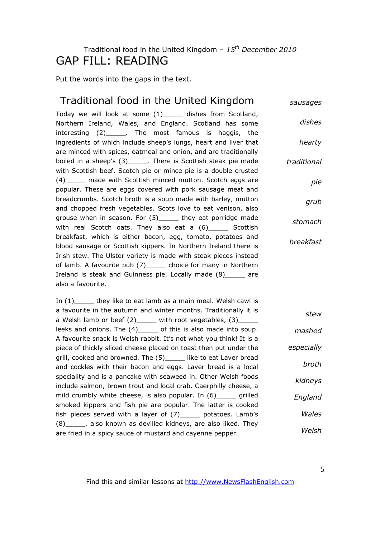# Traditional food in the United Kingdom – *15th December 2010* GAP FILL: READING

Put the words into the gaps in the text.

#### Traditional food in the United Kingdom Today we will look at some (1)\_\_\_\_\_ dishes from Scotland, Northern Ireland, Wales, and England. Scotland has some interesting (2)\_\_\_\_\_. The most famous is haggis, the ingredients of which include sheep's lungs, heart and liver that are minced with spices, oatmeal and onion, and are traditionally boiled in a sheep's (3)\_\_\_\_\_. There is Scottish steak pie made with Scottish beef. Scotch pie or mince pie is a double crusted (4) made with Scottish minced mutton. Scotch eggs are popular. These are eggs covered with pork sausage meat and breadcrumbs. Scotch broth is a soup made with barley, mutton and chopped fresh vegetables. Scots love to eat venison, also grouse when in season. For (5)\_\_\_\_\_ they eat porridge made with real Scotch oats. They also eat a (6) \_\_\_\_\_ Scottish breakfast, which is either bacon, egg, tomato, potatoes and blood sausage or Scottish kippers. In Northern Ireland there is Irish stew. The Ulster variety is made with steak pieces instead of lamb. A favourite pub (7) choice for many in Northern Ireland is steak and Guinness pie. Locally made (8)\_\_\_\_\_ are also a favourite. *sausages dishes hearty traditional pie grub stomach breakfast* In  $(1)$  they like to eat lamb as a main meal. Welsh cawl is a favourite in the autumn and winter months. Traditionally it is a Welsh lamb or beef  $(2)$  with root vegetables,  $(3)$ leeks and onions. The (4) of this is also made into soup. A favourite snack is Welsh rabbit. It's not what you think! It is a piece of thickly sliced cheese placed on toast then put under the grill, cooked and browned. The (5)\_\_\_\_\_ like to eat Laver bread and cockles with their bacon and eggs. Laver bread is a local speciality and is a pancake with seaweed in. Other Welsh foods include salmon, brown trout and local crab. Caerphilly cheese, a mild crumbly white cheese, is also popular. In (6) \_\_\_\_\_ grilled smoked kippers and fish pie are popular. The latter is cooked fish pieces served with a layer of (7)\_\_\_\_\_ potatoes. Lamb's (8)\_\_\_\_\_, also known as devilled kidneys, are also liked. They are fried in a spicy sauce of mustard and cayenne pepper. *stew mashed especially broth kidneys England Wales Welsh*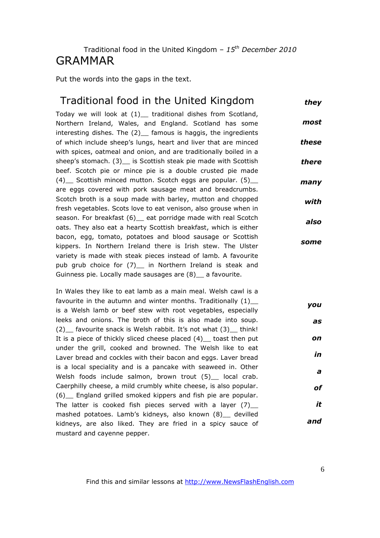### Traditional food in the United Kingdom – *15th December 2010* GRAMMAR

Put the words into the gaps in the text.

### Traditional food in the United Kingdom *they*

Today we will look at (1)\_ traditional dishes from Scotland, Northern Ireland, Wales, and England. Scotland has some interesting dishes. The (2) famous is haggis, the ingredients of which include sheep's lungs, heart and liver that are minced with spices, oatmeal and onion, and are traditionally boiled in a sheep's stomach. (3) is Scottish steak pie made with Scottish beef. Scotch pie or mince pie is a double crusted pie made (4) Scottish minced mutton. Scotch eggs are popular. (5) are eggs covered with pork sausage meat and breadcrumbs. Scotch broth is a soup made with barley, mutton and chopped fresh vegetables. Scots love to eat venison, also grouse when in season. For breakfast (6) eat porridge made with real Scotch oats. They also eat a hearty Scottish breakfast, which is either bacon, egg, tomato, potatoes and blood sausage or Scottish kippers. In Northern Ireland there is Irish stew. The Ulster variety is made with steak pieces instead of lamb. A favourite pub grub choice for (7) in Northern Ireland is steak and Guinness pie. Locally made sausages are (8)\_\_ a favourite. *most these there many with also some*

In Wales they like to eat lamb as a main meal. Welsh cawl is a favourite in the autumn and winter months. Traditionally (1) is a Welsh lamb or beef stew with root vegetables, especially leeks and onions. The broth of this is also made into soup. (2) favourite snack is Welsh rabbit. It's not what (3) think! It is a piece of thickly sliced cheese placed  $(4)$  toast then put under the grill, cooked and browned. The Welsh like to eat Laver bread and cockles with their bacon and eggs. Laver bread is a local speciality and is a pancake with seaweed in. Other Welsh foods include salmon, brown trout (5) local crab. Caerphilly cheese, a mild crumbly white cheese, is also popular. (6)\_\_ England grilled smoked kippers and fish pie are popular. The latter is cooked fish pieces served with a layer  $(7)$ mashed potatoes. Lamb's kidneys, also known (8)\_\_ devilled kidneys, are also liked. They are fried in a spicy sauce of mustard and cayenne pepper. *you as on in a of it and*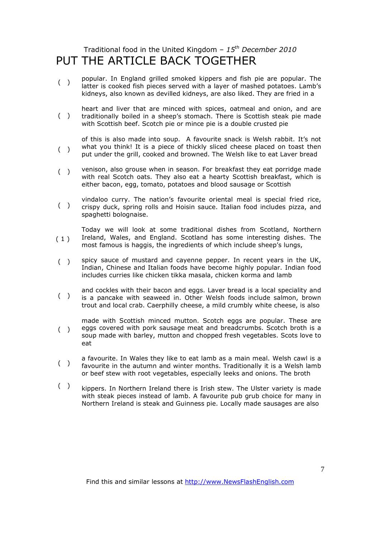# Traditional food in the United Kingdom – *15th December 2010* PUT THE ARTICLE BACK TOGETHER

- $($ ) popular. In England grilled smoked kippers and fish pie are popular. The latter is cooked fish pieces served with a layer of mashed potatoes. Lamb's kidneys, also known as devilled kidneys, are also liked. They are fried in a
- $($ ) heart and liver that are minced with spices, oatmeal and onion, and are traditionally boiled in a sheep's stomach. There is Scottish steak pie made with Scottish beef. Scotch pie or mince pie is a double crusted pie
- $($ ) of this is also made into soup. A favourite snack is Welsh rabbit. It's not what you think! It is a piece of thickly sliced cheese placed on toast then put under the grill, cooked and browned. The Welsh like to eat Laver bread
- ( ) venison, also grouse when in season. For breakfast they eat porridge made with real Scotch oats. They also eat a hearty Scottish breakfast, which is either bacon, egg, tomato, potatoes and blood sausage or Scottish
- $($ ) vindaloo curry. The nation's favourite oriental meal is special fried rice, crispy duck, spring rolls and Hoisin sauce. Italian food includes pizza, and spaghetti bolognaise.
- $(1)$ Today we will look at some traditional dishes from Scotland, Northern Ireland, Wales, and England. Scotland has some interesting dishes. The most famous is haggis, the ingredients of which include sheep's lungs,
- $($ ) spicy sauce of mustard and cayenne pepper. In recent years in the UK, Indian, Chinese and Italian foods have become highly popular. Indian food includes curries like chicken tikka masala, chicken korma and lamb
- $($ ) and cockles with their bacon and eggs. Laver bread is a local speciality and is a pancake with seaweed in. Other Welsh foods include salmon, brown trout and local crab. Caerphilly cheese, a mild crumbly white cheese, is also
- $($ ) made with Scottish minced mutton. Scotch eggs are popular. These are eggs covered with pork sausage meat and breadcrumbs. Scotch broth is a soup made with barley, mutton and chopped fresh vegetables. Scots love to eat
- $($ ) a favourite. In Wales they like to eat lamb as a main meal. Welsh cawl is a favourite in the autumn and winter months. Traditionally it is a Welsh lamb or beef stew with root vegetables, especially leeks and onions. The broth
- $($ ) kippers. In Northern Ireland there is Irish stew. The Ulster variety is made with steak pieces instead of lamb. A favourite pub grub choice for many in Northern Ireland is steak and Guinness pie. Locally made sausages are also